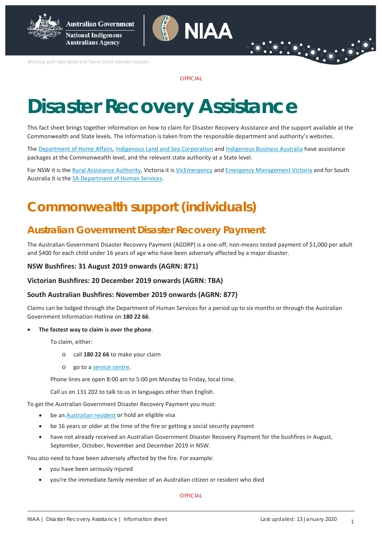

**National Indigenous Australians Agency** 

*Working with Aboriginal and Torres Strait Islander peoples*

**OFFICIAL** 

**NIAA** 

# **Disaster Recovery Assistance**

This fact sheet brings together information on how to claim for Disaster Recovery Assistance and the support available at the Commonwealth and State levels. The information is taken from the responsible department and authority's websites.

The [Department of Home Affairs,](https://www.homeaffairs.gov.au/about-us/our-portfolios/emergency-management/recovery-assistance) [Indigenous Land and Sea Corporation](https://www.ilsc.gov.au/) and [Indigenous Business Australia](https://www.iba.gov.au/bushfire-crisis-support/) have assistance packages at the Commonwealth level, and the relevant state authority at a State level.

For NSW it is th[e Rural Assistance Authority,](https://www.raa.nsw.gov.au/disaster-assistance/declared-natural-disasters) Victoria it is [VicEmergency](https://emergency.vic.gov.au/relief/#financial_assistance) an[d Emergency Management Victoria](https://www.emv.vic.gov.au/natural-disaster-financial-assistance) and for South Australia it is the [SA Department of Human Services.](https://dhs.sa.gov.au/services/disaster-recovery)

# **Commonwealth support (individuals)**

### **Australian Government Disaster Recovery Payment**

The Australian Government Disaster Recovery Payment (AGDRP) is a one-off, non-means tested payment of \$1,000 per adult and \$400 for each child under 16 years of age who have been adversely affected by a major disaster.

#### **NSW Bushfires: 31 August 2019 onwards (AGRN: 871)**

#### **Victorian Bushfires: 20 December 2019 onwards (AGRN: TBA)**

#### **South Australian Bushfires: November 2019 onwards (AGRN: 877)**

Claims can be lodged through the Department of Human Services for a period up to six months or through the Australian Government Information Hotline on **180 22 66**.

#### • **The fastest way to claim is over the phone**.

To claim, either:

- o call **180 22 66** to make your claim
- o go to [a service centre.](https://findus.humanservices.gov.au/)

Phone lines are open 8:00 am to 5:00 pm Monday to Friday, local time.

Call us on 131 202 to talk to us in languages other than English.

To get the Australian Government Disaster Recovery Payment you must:

- be a[n Australian resident](https://www.humanservices.gov.au/individuals/topics/residence-descriptions/30391) or hold an eligible visa
- be 16 years or older at the time of the fire or getting a social security payment
- have not already received an Australian Government Disaster Recovery Payment for the bushfires in August, September, October, November and December 2019 in NSW.

You also need to have been adversely affected by the fire. For example:

- you have been seriously injured
- you're the immediate family member of an Australian citizen or resident who died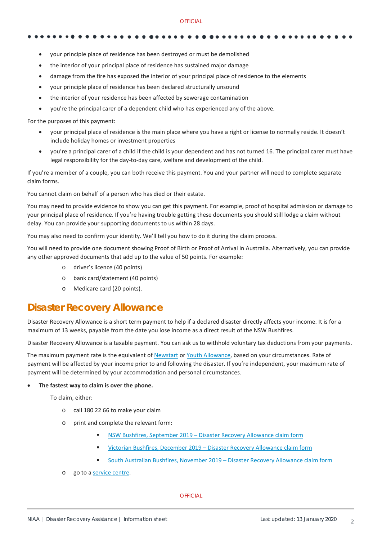#### **OFFICIAL**

- your principle place of residence has been destroyed or must be demolished
- the interior of your principal place of residence has sustained major damage
- damage from the fire has exposed the interior of your principal place of residence to the elements
- your principle place of residence has been declared structurally unsound
- the interior of your residence has been affected by sewerage contamination
- you're the principal carer of a dependent child who has experienced any of the above.

For the purposes of this payment:

- your principal place of residence is the main place where you have a right or license to normally reside. It doesn't include holiday homes or investment properties
- you're a principal carer of a child if the child is your dependent and has not turned 16. The principal carer must have legal responsibility for the day-to-day care, welfare and development of the child.

If you're a member of a couple, you can both receive this payment. You and your partner will need to complete separate claim forms.

You cannot claim on behalf of a person who has died or their estate.

You may need to provide evidence to show you can get this payment. For example, proof of hospital admission or damage to your principal place of residence. If you're having trouble getting these documents you should still lodge a claim without delay. You can provide your supporting documents to us within 28 days.

You may also need to confirm your identity. We'll tell you how to do it during the claim process.

You will need to provide one document showing Proof of Birth or Proof of Arrival in Australia. Alternatively, you can provide any other approved documents that add up to the value of 50 points. For example:

- o driver's licence (40 points)
- o bank card/statement (40 points)
- o Medicare card (20 points).

### **Disaster Recovery Allowance**

Disaster Recovery Allowance is a short term payment to help if a declared disaster directly affects your income. It is for a maximum of 13 weeks, payable from the date you lose income as a direct result of the NSW Bushfires.

Disaster Recovery Allowance is a taxable payment. You can ask us to withhold voluntary tax deductions from your payments.

The maximum payment rate is the equivalent o[f Newstart](https://www.humanservices.gov.au/individuals/steps/how-much-newstart-allowance-you-can-get/36826) or [Youth Allowance,](https://www.humanservices.gov.au/individuals/steps/how-much-you-can-get-youth-allowance-students-and-apprentices/43931) based on your circumstances. Rate of payment will be affected by your income prior to and following the disaster. If you're independent, your maximum rate of payment will be determined by your accommodation and personal circumstances.

#### • **The fastest way to claim is over the phone.**

To claim, either:

- o call 180 22 66 to make your claim
- o print and complete the relevant form:
	- [NSW Bushfires, September 2019 –](https://www.humanservices.gov.au/individuals/forms/em195) Disaster Recovery Allowance claim form
	- Victorian Bushfires, December 2019 [Disaster Recovery Allowance](https://www.humanservices.gov.au/individuals/forms/em214) claim form
	- [South Australian Bushfires, November 2019 –](https://www.humanservices.gov.au/individuals/forms/em206) Disaster Recovery Allowance claim form
- o go to [a service centre.](https://findus.humanservices.gov.au/)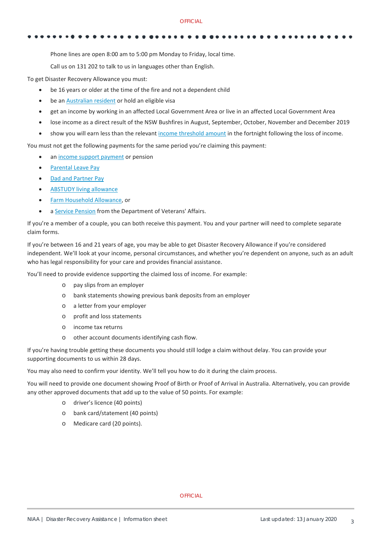#### **OFFICIAL**

Phone lines are open 8:00 am to 5:00 pm Monday to Friday, local time.

Call us on 131 202 to talk to us in languages other than English.

To get Disaster Recovery Allowance you must:

- be 16 years or older at the time of the fire and not a dependent child
- be a[n Australian resident](https://www.humanservices.gov.au/individuals/topics/residence-descriptions/30391) or hold an eligible visa
- get an income by working in an affected Local Government Area or live in an affected Local Government Area
- lose income as a direct result of the NSW Bushfires in August, September, October, November and December 2019
- show you will earn less than the relevant [income threshold amount](https://www.humanservices.gov.au/individuals/services/centrelink/nsw-bushfires-september-2019-disaster-recovery-allowance#incthreshold) in the fortnight following the loss of income.

You must not get the following payments for the same period you're claiming this payment:

- an [income support payment](https://www.humanservices.gov.au/individuals/topics/income-support-payment-description/34696) or pension
- [Parental Leave Pay](https://www.humanservices.gov.au/individuals/services/centrelink/parental-leave-pay)
- [Dad and Partner Pay](https://www.humanservices.gov.au/individuals/services/centrelink/dad-and-partner-pay)
- [ABSTUDY living allowance](https://www.humanservices.gov.au/individuals/services/centrelink/abstudy-living-allowance)
- [Farm Household Allowance,](https://www.humanservices.gov.au/individuals/services/centrelink/farm-household-allowance) or
- [a Service Pension](http://www.dva.gov.au/) from the Department of Veterans' Affairs.

If you're a member of a couple, you can both receive this payment. You and your partner will need to complete separate claim forms.

If you're between 16 and 21 years of age, you may be able to get Disaster Recovery Allowance if you're considered independent. We'll look at your income, personal circumstances, and whether you're dependent on anyone, such as an adult who has legal responsibility for your care and provides financial assistance.

You'll need to provide evidence supporting the claimed loss of income. For example:

- o pay slips from an employer
- o bank statements showing previous bank deposits from an employer
- o a letter from your employer
- o profit and loss statements
- o income tax returns
- o other account documents identifying cash flow.

If you're having trouble getting these documents you should still lodge a claim without delay. You can provide your supporting documents to us within 28 days.

You may also need to confirm your identity. We'll tell you how to do it during the claim process.

You will need to provide one document showing Proof of Birth or Proof of Arrival in Australia. Alternatively, you can provide any other approved documents that add up to the value of 50 points. For example:

- o driver's licence (40 points)
- o bank card/statement (40 points)
- o Medicare card (20 points).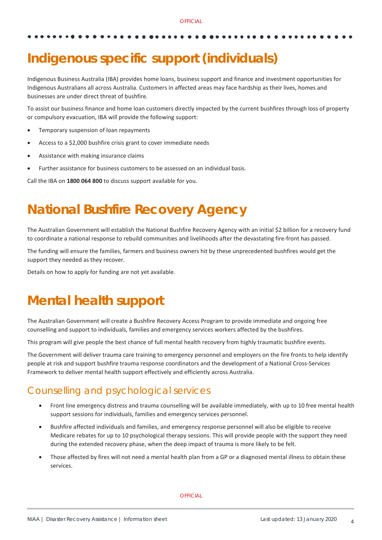# **Indigenous specific support (individuals)**

Indigenous Business Australia (IBA) provides home loans, business support and finance and investment opportunities for Indigenous Australians all across Australia. Customers in affected areas may face hardship as their lives, homes and businesses are under direct threat of bushfire.

To assist our business finance and home loan customers directly impacted by the current bushfires through loss of property or compulsory evacuation, IBA will provide the following support:

- Temporary suspension of loan repayments
- Access to a \$2,000 bushfire crisis grant to cover immediate needs
- Assistance with making insurance claims
- Further assistance for business customers to be assessed on an individual basis.

Call the IBA on **1800 064 800** to discuss support available for you.

# **National Bushfire Recovery Agency**

The Australian Government will establish the National Bushfire Recovery Agency with an initial \$2 billion for a recovery fund to coordinate a national response to rebuild communities and livelihoods after the devastating fire-front has passed.

The funding will ensure the families, farmers and business owners hit by these unprecedented bushfires would get the support they needed as they recover.

Details on how to apply for funding are not yet available.

# **Mental health support**

The Australian Government will create a Bushfire Recovery Access Program to provide immediate and ongoing free counselling and support to individuals, families and emergency services workers affected by the bushfires.

This program will give people the best chance of full mental health recovery from highly traumatic bushfire events.

The Government will deliver trauma care training to emergency personnel and employers on the fire fronts to help identify people at risk and support bushfire trauma response coordinators and the development of a National Cross-Services Framework to deliver mental health support effectively and efficiently across Australia.

### Counselling and psychological services

- Front line emergency distress and trauma counselling will be available immediately, with up to 10 free mental health support sessions for individuals, families and emergency services personnel.
- Bushfire affected individuals and families, and emergency response personnel will also be eligible to receive Medicare rebates for up to 10 psychological therapy sessions. This will provide people with the support they need during the extended recovery phase, when the deep impact of trauma is more likely to be felt.
- Those affected by fires will not need a mental health plan from a GP or a diagnosed mental illness to obtain these services.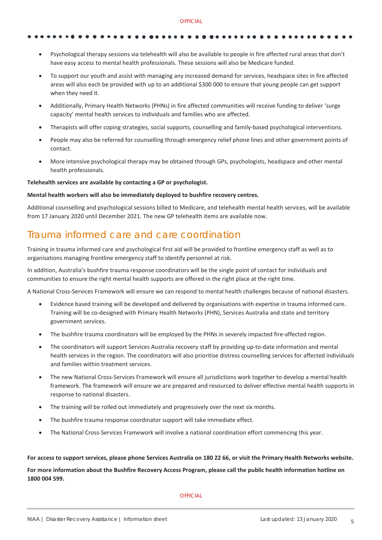- Psychological therapy sessions via telehealth will also be available to people in fire affected rural areas that don't have easy access to mental health professionals. These sessions will also be Medicare funded.
- To support our youth and assist with managing any increased demand for services, headspace sites in fire affected areas will also each be provided with up to an additional \$300 000 to ensure that young people can get support when they need it.
- Additionally, Primary Health Networks (PHNs) in fire affected communities will receive funding to deliver 'surge capacity' mental health services to individuals and families who are affected.
- Therapists will offer coping strategies, social supports, counselling and family-based psychological interventions.
- People may also be referred for counselling through emergency relief phone lines and other government points of contact.
- More intensive psychological therapy may be obtained through GPs, psychologists, headspace and other mental health professionals.

### **Telehealth services are available by contacting a GP or psychologist.**

#### **Mental health workers will also be immediately deployed to bushfire recovery centres.**

Additional counselling and psychological sessions billed to Medicare, and telehealth mental health services, will be available from 17 January 2020 until December 2021. The new GP telehealth items are available now.

# Trauma informed care and care coordination

Training in trauma informed care and psychological first aid will be provided to frontline emergency staff as well as to organisations managing frontline emergency staff to identify personnel at risk.

In addition, Australia's bushfire trauma response coordinators will be the single point of contact for individuals and communities to ensure the right mental health supports are offered in the right place at the right time.

A National Cross-Services Framework will ensure we can respond to mental health challenges because of national disasters.

- Evidence based training will be developed and delivered by organisations with expertise in trauma informed care. Training will be co-designed with Primary Health Networks (PHN), Services Australia and state and territory government services.
- The bushfire trauma coordinators will be employed by the PHNs in severely impacted fire-affected region.
- The coordinators will support Services Australia recovery staff by providing up-to-date information and mental health services in the region. The coordinators will also prioritise distress counselling services for affected individuals and families within treatment services.
- The new National Cross-Services Framework will ensure all jurisdictions work together to develop a mental health framework. The framework will ensure we are prepared and resourced to deliver effective mental health supports in response to national disasters.
- The training will be rolled out immediately and progressively over the next six months.
- The bushfire trauma response coordinator support will take immediate effect.
- The National Cross-Services Framework will involve a national coordination effort commencing this year.

### **For access to support services, please phone Services Australia on 180 22 66, or visit the Primary Health Networks website.**

**For more information about the Bushfire Recovery Access Program, please call the public health information hotline on 1800 004 599.**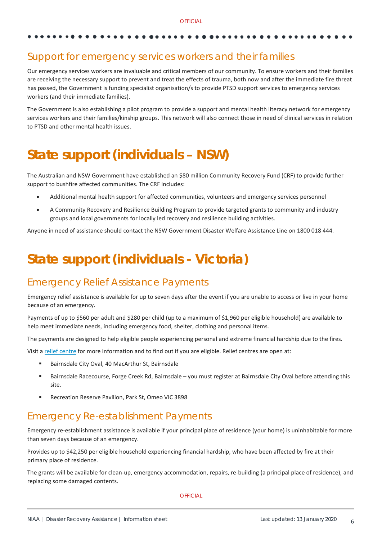## Support for emergency services workers and their families

Our emergency services workers are invaluable and critical members of our community. To ensure workers and their families are receiving the necessary support to prevent and treat the effects of trauma, both now and after the immediate fire threat has passed, the Government is funding specialist organisation/s to provide PTSD support services to emergency services workers (and their immediate families).

The Government is also establishing a pilot program to provide a support and mental health literacy network for emergency services workers and their families/kinship groups. This network will also connect those in need of clinical services in relation to PTSD and other mental health issues.

# **State support (individuals – NSW)**

The Australian and NSW Government have established an \$80 million Community Recovery Fund (CRF) to provide further support to bushfire affected communities. The CRF includes:

- Additional mental health support for affected communities, volunteers and emergency services personnel
- A Community Recovery and Resilience Building Program to provide targeted grants to community and industry groups and local governments for locally led recovery and resilience building activities.

Anyone in need of assistance should contact the NSW Government Disaster Welfare Assistance Line on 1800 018 444.

# **State support (individuals - Victoria)**

### Emergency Relief Assistance Payments

Emergency relief assistance is available for up to seven days after the event if you are unable to access or live in your home because of an emergency.

Payments of up to \$560 per adult and \$280 per child (up to a maximum of \$1,960 per eligible household) are available to help meet immediate needs, including emergency food, shelter, clothing and personal items.

The payments are designed to help eligible people experiencing personal and extreme financial hardship due to the fires.

Visit [a relief centre](http://emergency.vic.gov.au/relief/#relief_centres) for more information and to find out if you are eligible. Relief centres are open at:

- Bairnsdale City Oval, 40 MacArthur St, Bairnsdale
- Bairnsdale Racecourse, Forge Creek Rd, Bairnsdale you must register at Bairnsdale City Oval before attending this site.
- **Recreation Reserve Pavilion, Park St, Omeo VIC 3898**

### Emergency Re-establishment Payments

Emergency re-establishment assistance is available if your principal place of residence (your home) is uninhabitable for more than seven days because of an emergency.

Provides up to \$42,250 per eligible household experiencing financial hardship, who have been affected by fire at their primary place of residence.

The grants will be available for clean-up, emergency accommodation, repairs, re-building (a principal place of residence), and replacing some damaged contents.